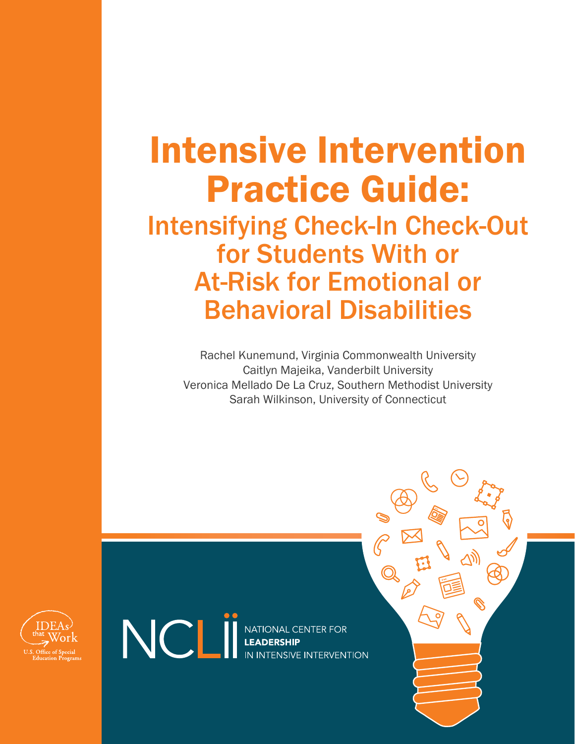# Intensive Intervention Practice Guide:

## Intensifying Check-In Check-Out for Students With or At-Risk for Emotional or Behavioral Disabilities

Rachel Kunemund, Virginia Commonwealth University Caitlyn Majeika, Vanderbilt University Veronica Mellado De La Cruz, Southern Methodist University Sarah Wilkinson, University of Connecticut



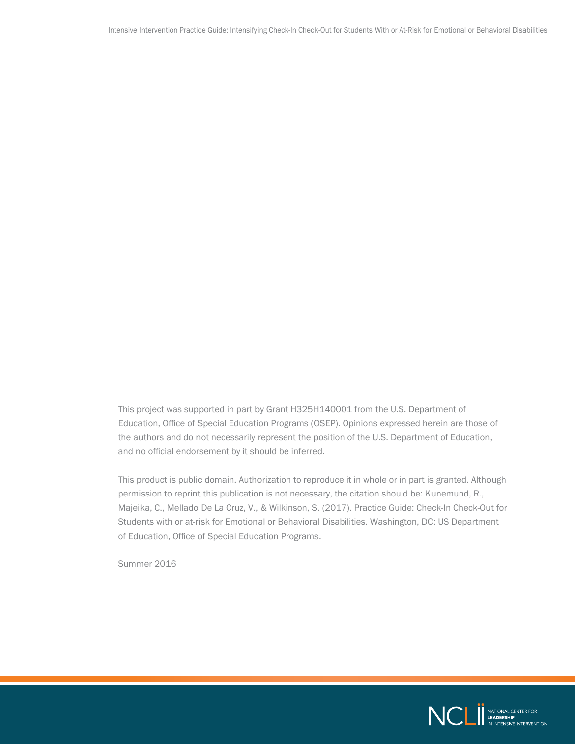This project was supported in part by Grant H325H140001 from the U.S. Department of Education, Office of Special Education Programs (OSEP). Opinions expressed herein are those of the authors and do not necessarily represent the position of the U.S. Department of Education, and no official endorsement by it should be inferred.

This product is public domain. Authorization to reproduce it in whole or in part is granted. Although permission to reprint this publication is not necessary, the citation should be: Kunemund, R., Majeika, C., Mellado De La Cruz, V., & Wilkinson, S. (2017). Practice Guide: Check-In Check-Out for Students with or at-risk for Emotional or Behavioral Disabilities. Washington, DC: US Department of Education, Office of Special Education Programs.

Summer 2016

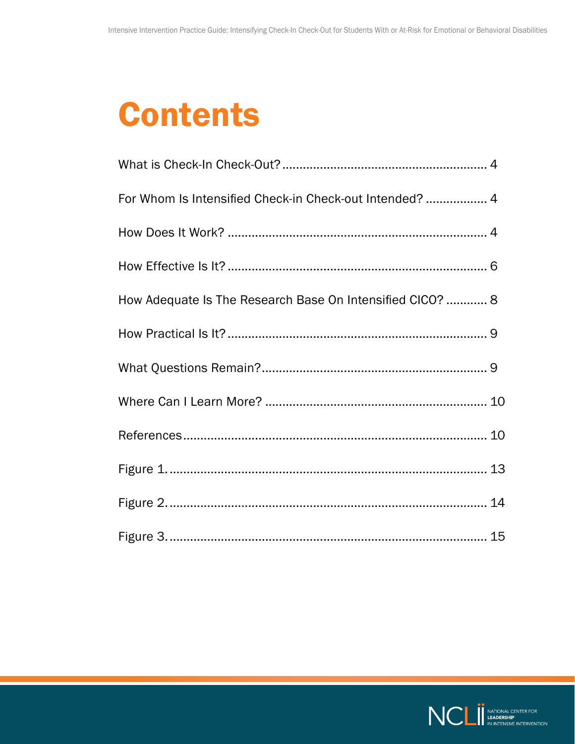## **Contents**

| For Whom Is Intensified Check-in Check-out Intended?  4   |  |
|-----------------------------------------------------------|--|
|                                                           |  |
|                                                           |  |
| How Adequate Is The Research Base On Intensified CICO?  8 |  |
|                                                           |  |
|                                                           |  |
|                                                           |  |
|                                                           |  |
|                                                           |  |
|                                                           |  |
|                                                           |  |

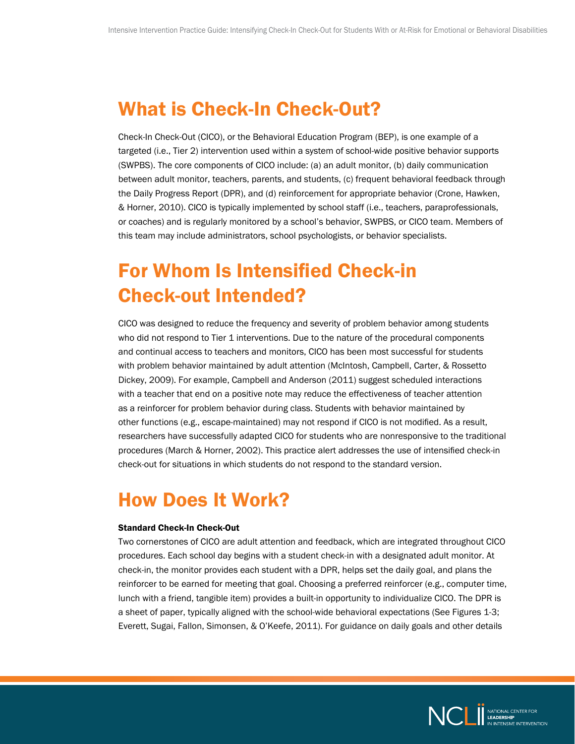#### <span id="page-3-0"></span>What is Check-In Check-Out?

Check-In Check-Out (CICO), or the Behavioral Education Program (BEP), is one example of a targeted (i.e., Tier 2) intervention used within a system of school-wide positive behavior supports (SWPBS). The core components of CICO include: (a) an adult monitor, (b) daily communication between adult monitor, teachers, parents, and students, (c) frequent behavioral feedback through the Daily Progress Report (DPR), and (d) reinforcement for appropriate behavior (Crone, Hawken, & Horner, 2010). CICO is typically implemented by school staff (i.e., teachers, paraprofessionals, or coaches) and is regularly monitored by a school's behavior, SWPBS, or CICO team. Members of this team may include administrators, school psychologists, or behavior specialists.

### For Whom Is Intensified Check-in Check-out Intended?

CICO was designed to reduce the frequency and severity of problem behavior among students who did not respond to Tier 1 interventions. Due to the nature of the procedural components and continual access to teachers and monitors, CICO has been most successful for students with problem behavior maintained by adult attention (McIntosh, Campbell, Carter, & Rossetto Dickey, 2009). For example, Campbell and Anderson (2011) suggest scheduled interactions with a teacher that end on a positive note may reduce the effectiveness of teacher attention as a reinforcer for problem behavior during class. Students with behavior maintained by other functions (e.g., escape-maintained) may not respond if CICO is not modified. As a result, researchers have successfully adapted CICO for students who are nonresponsive to the traditional procedures (March & Horner, 2002). This practice alert addresses the use of intensified check-in check-out for situations in which students do not respond to the standard version.

### How Does It Work?

#### Standard Check-In Check-Out

Two cornerstones of CICO are adult attention and feedback, which are integrated throughout CICO procedures. Each school day begins with a student check-in with a designated adult monitor. At check-in, the monitor provides each student with a DPR, helps set the daily goal, and plans the reinforcer to be earned for meeting that goal. Choosing a preferred reinforcer (e.g., computer time, lunch with a friend, tangible item) provides a built-in opportunity to individualize CICO. The DPR is a sheet of paper, typically aligned with the school-wide behavioral expectations (See Figures 1-3; Everett, Sugai, Fallon, Simonsen, & O'Keefe, 2011). For guidance on daily goals and other details

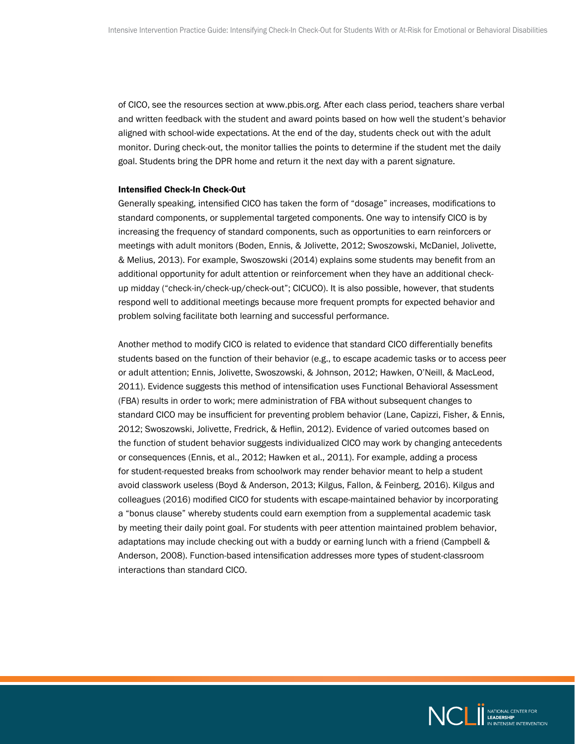of CICO, see the resources section at [www.pbis.org.](http://www.pbis.org) After each class period, teachers share verbal and written feedback with the student and award points based on how well the student's behavior aligned with school-wide expectations. At the end of the day, students check out with the adult monitor. During check-out, the monitor tallies the points to determine if the student met the daily goal. Students bring the DPR home and return it the next day with a parent signature.

#### Intensified Check-In Check-Out

Generally speaking, intensified CICO has taken the form of "dosage" increases, modifications to standard components, or supplemental targeted components. One way to intensify CICO is by increasing the frequency of standard components, such as opportunities to earn reinforcers or meetings with adult monitors (Boden, Ennis, & Jolivette, 2012; Swoszowski, McDaniel, Jolivette, & Melius, 2013). For example, Swoszowski (2014) explains some students may benefit from an additional opportunity for adult attention or reinforcement when they have an additional checkup midday ("check-in/check-up/check-out"; CICUCO). It is also possible, however, that students respond well to additional meetings because more frequent prompts for expected behavior and problem solving facilitate both learning and successful performance.

Another method to modify CICO is related to evidence that standard CICO differentially benefits students based on the function of their behavior (e.g., to escape academic tasks or to access peer or adult attention; Ennis, Jolivette, Swoszowski, & Johnson, 2012; Hawken, O'Neill, & MacLeod, 2011). Evidence suggests this method of intensification uses Functional Behavioral Assessment (FBA) results in order to work; mere administration of FBA without subsequent changes to standard CICO may be insufficient for preventing problem behavior (Lane, Capizzi, Fisher, & Ennis, 2012; Swoszowski, Jolivette, Fredrick, & Heflin, 2012). Evidence of varied outcomes based on the function of student behavior suggests individualized CICO may work by changing antecedents or consequences (Ennis, et al., 2012; Hawken et al., 2011). For example, adding a process for student-requested breaks from schoolwork may render behavior meant to help a student avoid classwork useless (Boyd & Anderson, 2013; Kilgus, Fallon, & Feinberg, 2016). Kilgus and colleagues (2016) modified CICO for students with escape-maintained behavior by incorporating a "bonus clause" whereby students could earn exemption from a supplemental academic task by meeting their daily point goal. For students with peer attention maintained problem behavior, adaptations may include checking out with a buddy or earning lunch with a friend (Campbell & Anderson, 2008). Function-based intensification addresses more types of student-classroom interactions than standard CICO.

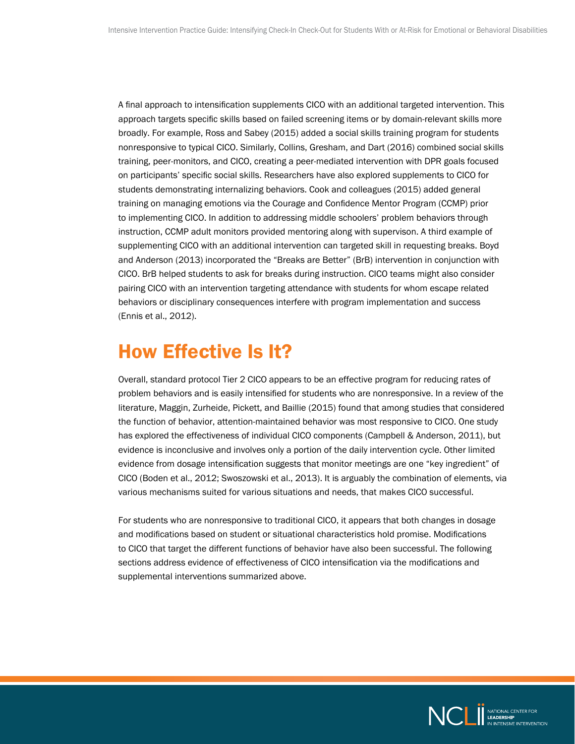<span id="page-5-0"></span>A final approach to intensification supplements CICO with an additional targeted intervention. This approach targets specific skills based on failed screening items or by domain-relevant skills more broadly. For example, Ross and Sabey (2015) added a social skills training program for students nonresponsive to typical CICO. Similarly, Collins, Gresham, and Dart (2016) combined social skills training, peer-monitors, and CICO, creating a peer-mediated intervention with DPR goals focused on participants' specific social skills. Researchers have also explored supplements to CICO for students demonstrating internalizing behaviors. Cook and colleagues (2015) added general training on managing emotions via the Courage and Confidence Mentor Program (CCMP) prior to implementing CICO. In addition to addressing middle schoolers' problem behaviors through instruction, CCMP adult monitors provided mentoring along with supervison. A third example of supplementing CICO with an additional intervention can targeted skill in requesting breaks. Boyd and Anderson (2013) incorporated the "Breaks are Better" (BrB) intervention in conjunction with CICO. BrB helped students to ask for breaks during instruction. CICO teams might also consider pairing CICO with an intervention targeting attendance with students for whom escape related behaviors or disciplinary consequences interfere with program implementation and success (Ennis et al., 2012).

#### How Effective Is It?

Overall, standard protocol Tier 2 CICO appears to be an effective program for reducing rates of problem behaviors and is easily intensified for students who are nonresponsive. In a review of the literature, Maggin, Zurheide, Pickett, and Baillie (2015) found that among studies that considered the function of behavior, attention-maintained behavior was most responsive to CICO. One study has explored the effectiveness of individual CICO components (Campbell & Anderson, 2011), but evidence is inconclusive and involves only a portion of the daily intervention cycle. Other limited evidence from dosage intensification suggests that monitor meetings are one "key ingredient" of CICO (Boden et al., 2012; Swoszowski et al., 2013). It is arguably the combination of elements, via various mechanisms suited for various situations and needs, that makes CICO successful.

For students who are nonresponsive to traditional CICO, it appears that both changes in dosage and modifications based on student or situational characteristics hold promise. Modifications to CICO that target the different functions of behavior have also been successful. The following sections address evidence of effectiveness of CICO intensification via the modifications and supplemental interventions summarized above.

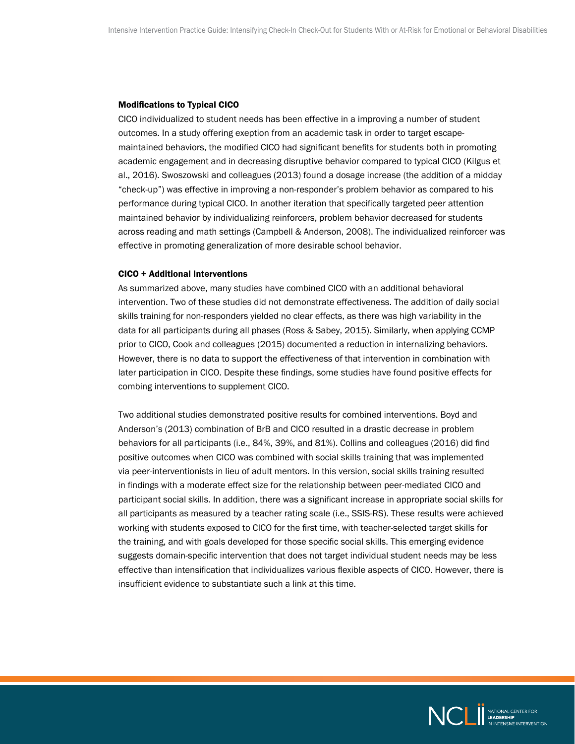#### Modifications to Typical CICO

CICO individualized to student needs has been effective in a improving a number of student outcomes. In a study offering exeption from an academic task in order to target escapemaintained behaviors, the modified CICO had significant benefits for students both in promoting academic engagement and in decreasing disruptive behavior compared to typical CICO (Kilgus et al., 2016). Swoszowski and colleagues (2013) found a dosage increase (the addition of a midday "check-up") was effective in improving a non-responder's problem behavior as compared to his performance during typical CICO. In another iteration that specifically targeted peer attention maintained behavior by individualizing reinforcers, problem behavior decreased for students across reading and math settings (Campbell & Anderson, 2008). The individualized reinforcer was effective in promoting generalization of more desirable school behavior.

#### CICO + Additional Interventions

As summarized above, many studies have combined CICO with an additional behavioral intervention. Two of these studies did not demonstrate effectiveness. The addition of daily social skills training for non-responders yielded no clear effects, as there was high variability in the data for all participants during all phases (Ross & Sabey, 2015). Similarly, when applying CCMP prior to CICO, Cook and colleagues (2015) documented a reduction in internalizing behaviors. However, there is no data to support the effectiveness of that intervention in combination with later participation in CICO. Despite these findings, some studies have found positive effects for combing interventions to supplement CICO.

Two additional studies demonstrated positive results for combined interventions. Boyd and Anderson's (2013) combination of BrB and CICO resulted in a drastic decrease in problem behaviors for all participants (i.e., 84%, 39%, and 81%). Collins and colleagues (2016) did find positive outcomes when CICO was combined with social skills training that was implemented via peer-interventionists in lieu of adult mentors. In this version, social skills training resulted in findings with a moderate effect size for the relationship between peer-mediated CICO and participant social skills. In addition, there was a significant increase in appropriate social skills for all participants as measured by a teacher rating scale (i.e., SSIS-RS). These results were achieved working with students exposed to CICO for the first time, with teacher-selected target skills for the training, and with goals developed for those specific social skills. This emerging evidence suggests domain-specific intervention that does not target individual student needs may be less effective than intensification that individualizes various flexible aspects of CICO. However, there is insufficient evidence to substantiate such a link at this time.

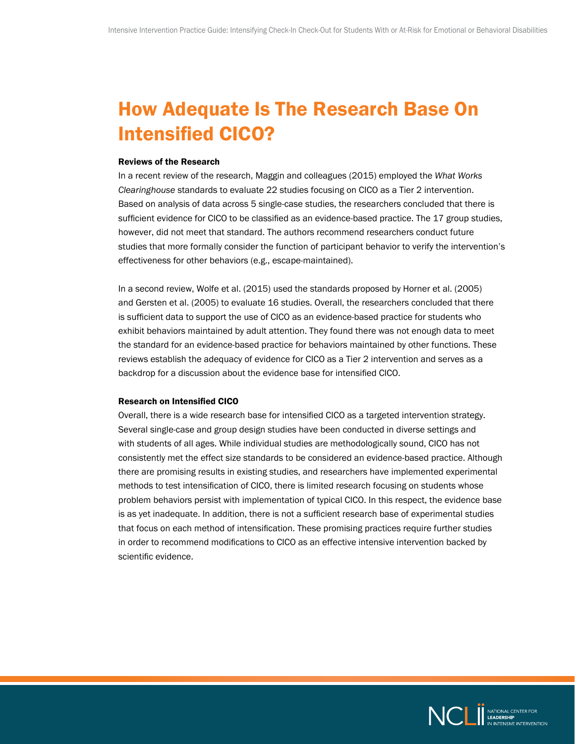### <span id="page-7-0"></span>How Adequate Is The Research Base On Intensified CICO?

#### Reviews of the Research

In a recent review of the research, Maggin and colleagues (2015) employed the *What Works Clearinghouse* standards to evaluate 22 studies focusing on CICO as a Tier 2 intervention. Based on analysis of data across 5 single-case studies, the researchers concluded that there is sufficient evidence for CICO to be classified as an evidence-based practice. The 17 group studies, however, did not meet that standard. The authors recommend researchers conduct future studies that more formally consider the function of participant behavior to verify the intervention's effectiveness for other behaviors (e.g., escape-maintained).

In a second review, Wolfe et al. (2015) used the standards proposed by Horner et al. (2005) and Gersten et al. (2005) to evaluate 16 studies. Overall, the researchers concluded that there is sufficient data to support the use of CICO as an evidence-based practice for students who exhibit behaviors maintained by adult attention. They found there was not enough data to meet the standard for an evidence-based practice for behaviors maintained by other functions. These reviews establish the adequacy of evidence for CICO as a Tier 2 intervention and serves as a backdrop for a discussion about the evidence base for intensified CICO.

#### Research on Intensified CICO

Overall, there is a wide research base for intensified CICO as a targeted intervention strategy. Several single-case and group design studies have been conducted in diverse settings and with students of all ages. While individual studies are methodologically sound, CICO has not consistently met the effect size standards to be considered an evidence-based practice. Although there are promising results in existing studies, and researchers have implemented experimental methods to test intensification of CICO, there is limited research focusing on students whose problem behaviors persist with implementation of typical CICO. In this respect, the evidence base is as yet inadequate. In addition, there is not a sufficient research base of experimental studies that focus on each method of intensification. These promising practices require further studies in order to recommend modifications to CICO as an effective intensive intervention backed by scientific evidence.

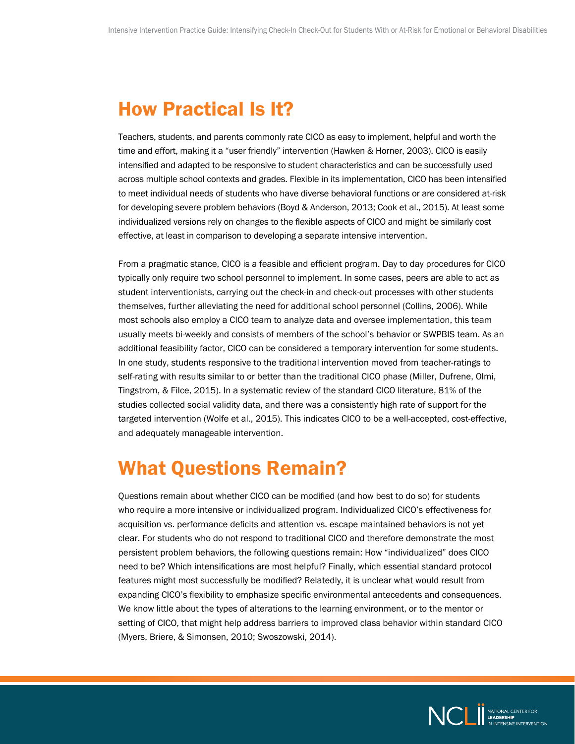#### <span id="page-8-0"></span>How Practical Is It?

Teachers, students, and parents commonly rate CICO as easy to implement, helpful and worth the time and effort, making it a "user friendly" intervention (Hawken & Horner, 2003). CICO is easily intensified and adapted to be responsive to student characteristics and can be successfully used across multiple school contexts and grades. Flexible in its implementation, CICO has been intensified to meet individual needs of students who have diverse behavioral functions or are considered at-risk for developing severe problem behaviors (Boyd & Anderson, 2013; Cook et al., 2015). At least some individualized versions rely on changes to the flexible aspects of CICO and might be similarly cost effective, at least in comparison to developing a separate intensive intervention.

From a pragmatic stance, CICO is a feasible and efficient program. Day to day procedures for CICO typically only require two school personnel to implement. In some cases, peers are able to act as student interventionists, carrying out the check-in and check-out processes with other students themselves, further alleviating the need for additional school personnel (Collins, 2006). While most schools also employ a CICO team to analyze data and oversee implementation, this team usually meets bi-weekly and consists of members of the school's behavior or SWPBIS team. As an additional feasibility factor, CICO can be considered a temporary intervention for some students. In one study, students responsive to the traditional intervention moved from teacher-ratings to self-rating with results similar to or better than the traditional CICO phase (Miller, Dufrene, Olmi, Tingstrom, & Filce, 2015). In a systematic review of the standard CICO literature, 81% of the studies collected social validity data, and there was a consistently high rate of support for the targeted intervention (Wolfe et al., 2015). This indicates CICO to be a well-accepted, cost-effective, and adequately manageable intervention.

#### What Questions Remain?

Questions remain about whether CICO can be modified (and how best to do so) for students who require a more intensive or individualized program. Individualized CICO's effectiveness for acquisition vs. performance deficits and attention vs. escape maintained behaviors is not yet clear. For students who do not respond to traditional CICO and therefore demonstrate the most persistent problem behaviors, the following questions remain: How "individualized" does CICO need to be? Which intensifications are most helpful? Finally, which essential standard protocol features might most successfully be modified? Relatedly, it is unclear what would result from expanding CICO's flexibility to emphasize specific environmental antecedents and consequences. We know little about the types of alterations to the learning environment, or to the mentor or setting of CICO, that might help address barriers to improved class behavior within standard CICO (Myers, Briere, & Simonsen, 2010; Swoszowski, 2014).

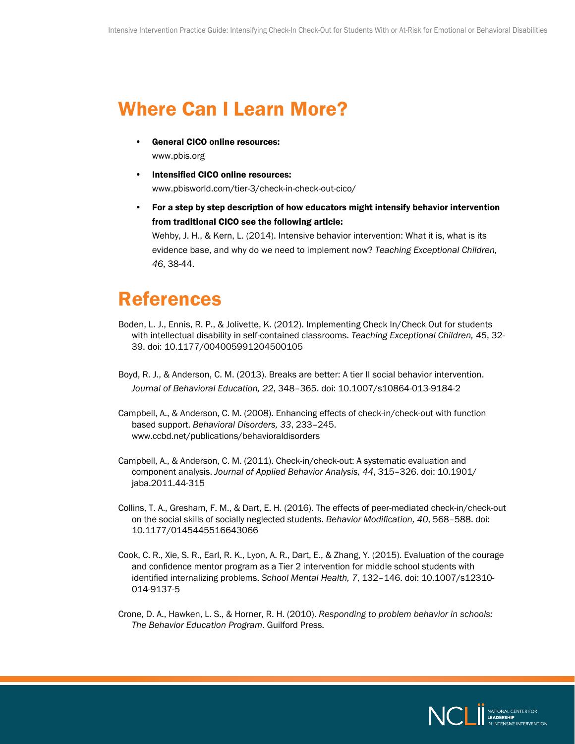#### <span id="page-9-0"></span>Where Can I Learn More?

- General CICO online resources: [www.pbis.org](http://www.pbis.org)
- Intensified CICO online resources: [www.pbisworld.com/tier-3/check-in-check-out-cico/](http://www.pbisworld.com/tier-3/check-in-check-out-cico/)
- For a step by step description of how educators might intensify behavior intervention from traditional CICO see the following article:

Wehby, J. H., & Kern, L. (2014). Intensive behavior intervention: What it is, what is its evidence base, and why do we need to implement now? *Teaching Exceptional Children, 46*, 38-44.

#### References

- Boden, L. J., Ennis, R. P., & Jolivette, K. (2012). Implementing Check In/Check Out for students with intellectual disability in self-contained classrooms. *Teaching Exceptional Children, 45*, 32- 39. doi: 10.1177/004005991204500105
- Boyd, R. J., & Anderson, C. M. (2013). Breaks are better: A tier II social behavior intervention. *Journal of Behavioral Education, 22*, 348–365. doi: 10.1007/s10864-013-9184-2
- Campbell, A., & Anderson, C. M. (2008). Enhancing effects of check-in/check-out with function based support. *Behavioral Disorders, 33*, 233–245. [www.ccbd.net/publications/behavioraldisorders](http://www.ccbd.net/publications/behavioraldisorders)
- Campbell, A., & Anderson, C. M. (2011). Check-in/check-out: A systematic evaluation and component analysis. *Journal of Applied Behavior Analysis, 44*, 315–326. doi: 10.1901/ jaba.2011.44-315
- Collins, T. A., Gresham, F. M., & Dart, E. H. (2016). The effects of peer-mediated check-in/check-out on the social skills of socially neglected students. *Behavior Modification, 40*, 568–588. doi: 10.1177/0145445516643066
- Cook, C. R., Xie, S. R., Earl, R. K., Lyon, A. R., Dart, E., & Zhang, Y. (2015). Evaluation of the courage and confidence mentor program as a Tier 2 intervention for middle school students with identified internalizing problems. *School Mental Health, 7*, 132–146. doi: 10.1007/s12310- 014-9137-5
- Crone, D. A., Hawken, L. S., & Horner, R. H. (2010). *Responding to problem behavior in schools: The Behavior Education Program*. Guilford Press.

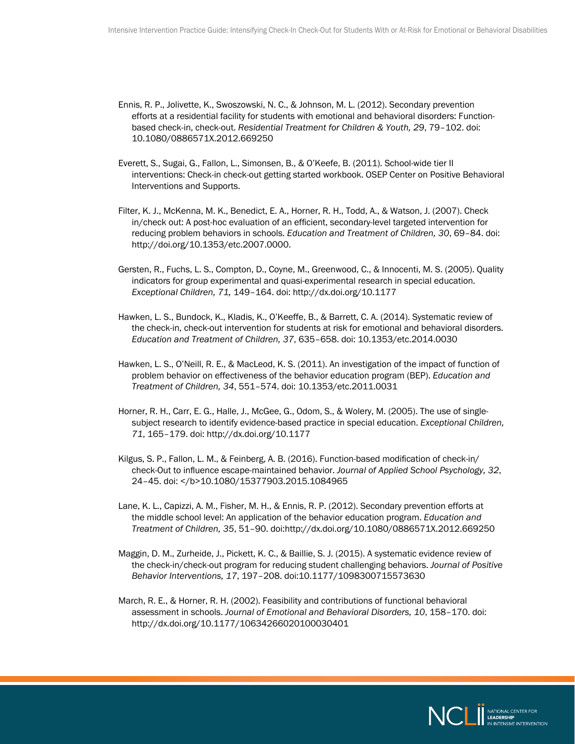- Ennis, R. P., Jolivette, K., Swoszowski, N. C., & Johnson, M. L. (2012). Secondary prevention efforts at a residential facility for students with emotional and behavioral disorders: Functionbased check-in, check-out. *Residential Treatment for Children & Youth, 29*, 79–102. doi: 10.1080/0886571X.2012.669250
- Everett, S., Sugai, G., Fallon, L., Simonsen, B., & O'Keefe, B. (2011). School-wide tier II interventions: Check-in check-out getting started workbook. OSEP Center on Positive Behavioral Interventions and Supports.
- Filter, K. J., McKenna, M. K., Benedict, E. A., Horner, R. H., Todd, A., & Watson, J. (2007). Check in/check out: A post-hoc evaluation of an efficient, secondary-level targeted intervention for reducing problem behaviors in schools. *Education and Treatment of Children, 30*, 69–84. doi: <http://doi.org/10.1353/etc.2007.0000>.
- Gersten, R., Fuchs, L. S., Compton, D., Coyne, M., Greenwood, C., & Innocenti, M. S. (2005). Quality indicators for group experimental and quasi-experimental research in special education. *Exceptional Children, 71,* 149–164. doi: <http://dx.doi.org/10.1177>
- Hawken, L. S., Bundock, K., Kladis, K., O'Keeffe, B., & Barrett, C. A. (2014). Systematic review of the check-in, check-out intervention for students at risk for emotional and behavioral disorders. *Education and Treatment of Children, 37*, 635–658. doi: 10.1353/etc.2014.0030
- Hawken, L. S., O'Neill, R. E., & MacLeod, K. S. (2011). An investigation of the impact of function of problem behavior on effectiveness of the behavior education program (BEP). *Education and Treatment of Children, 34*, 551–574. doi: 10.1353/etc.2011.0031
- Horner, R. H., Carr, E. G., Halle, J., McGee, G., Odom, S., & Wolery, M. (2005). The use of singlesubject research to identify evidence-based practice in special education. *Exceptional Children, 71*, 165–179. doi:<http://dx.doi.org/10.1177>
- Kilgus, S. P., Fallon, L. M., & Feinberg, A. B. (2016). Function-based modification of check-in/ check-Out to influence escape-maintained behavior. *Journal of Applied School Psychology, 32*, 24-45. doi: </b>10.1080/15377903.2015.1084965
- Lane, K. L., Capizzi, A. M., Fisher, M. H., & Ennis, R. P. (2012). Secondary prevention efforts at the middle school level: An application of the behavior education program. *Education and Treatment of Children, 35*, 51–90. doi:<http://dx.doi.org/10.1080/0886571X.2012.669250>
- Maggin, D. M., Zurheide, J., Pickett, K. C., & Baillie, S. J. (2015). A systematic evidence review of the check-in/check-out program for reducing student challenging behaviors. *Journal of Positive Behavior Interventions, 17*, 197–208. doi:10.1177/1098300715573630
- March, R. E., & Horner, R. H. (2002). Feasibility and contributions of functional behavioral assessment in schools. *Journal of Emotional and Behavioral Disorders, 10*, 158–170. doi: <http://dx.doi.org/10.1177/10634266020100030401>

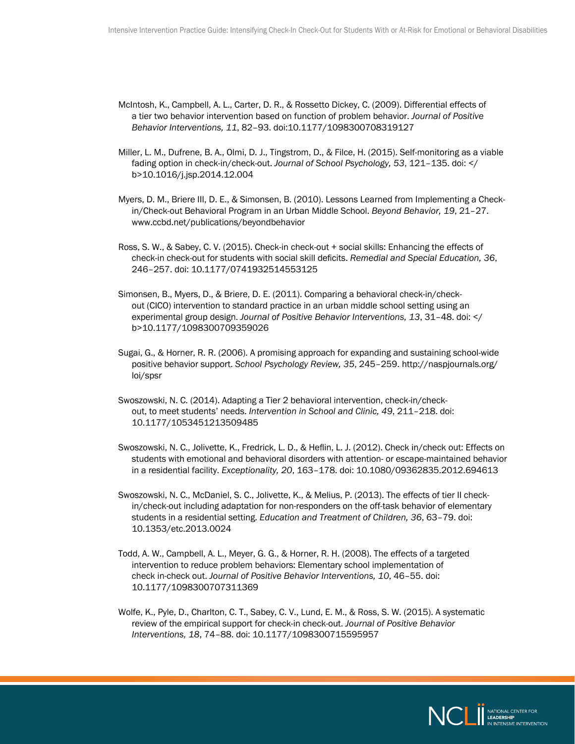- McIntosh, K., Campbell, A. L., Carter, D. R., & Rossetto Dickey, C. (2009). Differential effects of a tier two behavior intervention based on function of problem behavior. *Journal of Positive Behavior Interventions, 11*, 82–93. doi:10.1177/1098300708319127
- Miller, L. M., Dufrene, B. A., Olmi, D. J., Tingstrom, D., & Filce, H. (2015). Self-monitoring as a viable fading option in check-in/check-out. *Journal of School Psychology, 53*, 121–135. doi: </ b>[10.1016/j.jsp](http://10.1016/j.jsp).2014.12.004
- Myers, D. M., Briere III, D. E., & Simonsen, B. (2010). Lessons Learned from Implementing a Checkin/Check-out Behavioral Program in an Urban Middle School. *Beyond Behavior, 19*, 21–27. [www.ccbd.net/publications/beyondbehavior](http://www.ccbd.net/publications/beyondbehavior)
- Ross, S. W., & Sabey, C. V. (2015). Check-in check-out + social skills: Enhancing the effects of check-in check-out for students with social skill deficits. *Remedial and Special Education, 36*, 246–257. doi: 10.1177/0741932514553125
- Simonsen, B., Myers, D., & Briere, D. E. (2011). Comparing a behavioral check-in/checkout (CICO) intervention to standard practice in an urban middle school setting using an experimental group design. *Journal of Positive Behavior Interventions, 13*, 31–48. doi: </ b>10.1177/1098300709359026
- Sugai, G., & Horner, R. R. (2006). A promising approach for expanding and sustaining school-wide positive behavior support. *School Psychology Review, 35*, 245–259. [http://naspjournals.org/](http://naspjournals.org/loi/spsr) [loi/spsr](http://naspjournals.org/loi/spsr)
- Swoszowski, N. C. (2014). Adapting a Tier 2 behavioral intervention, check-in/checkout, to meet students' needs. *Intervention in School and Clinic, 49*, 211–218. doi: 10.1177/1053451213509485
- Swoszowski, N. C., Jolivette, K., Fredrick, L. D., & Heflin, L. J. (2012). Check in/check out: Effects on students with emotional and behavioral disorders with attention- or escape-maintained behavior in a residential facility. *Exceptionality, 20*, 163–178. doi: 10.1080/09362835.2012.694613
- Swoszowski, N. C., McDaniel, S. C., Jolivette, K., & Melius, P. (2013). The effects of tier II checkin/check-out including adaptation for non-responders on the off-task behavior of elementary students in a residential setting. *Education and Treatment of Children, 36*, 63–79. doi: 10.1353/etc.2013.0024
- Todd, A. W., Campbell, A. L., Meyer, G. G., & Horner, R. H. (2008). The effects of a targeted intervention to reduce problem behaviors: Elementary school implementation of check in-check out. *Journal of Positive Behavior Interventions, 10*, 46–55. doi: 10.1177/1098300707311369
- Wolfe, K., Pyle, D., Charlton, C. T., Sabey, C. V., Lund, E. M., & Ross, S. W. (2015). A systematic review of the empirical support for check-in check-out. *Journal of Positive Behavior Interventions, 18*, 74–88. doi: 10.1177/1098300715595957

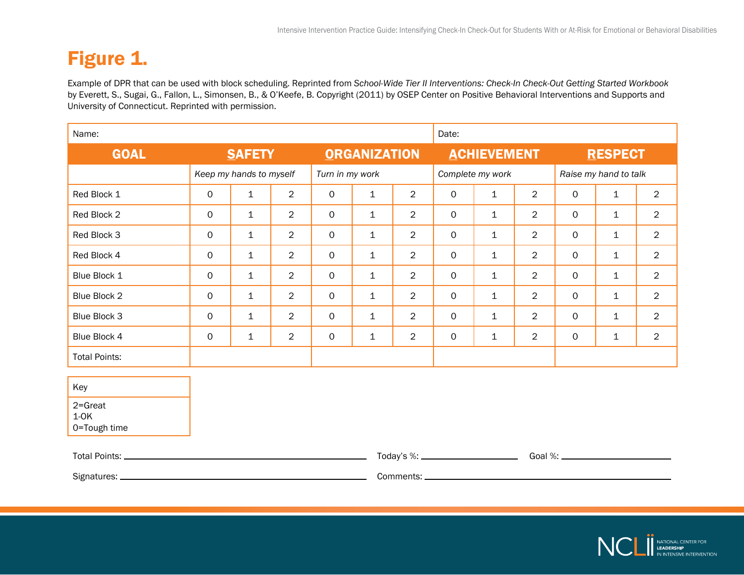### <span id="page-12-0"></span>Figure 1.

Example of DPR that can be used with block scheduling. Reprinted from *School-Wide Tier II Interventions: Check-In Check-Out Getting Started Workbook* by Everett, S., Sugai, G., Fallon, L., Simonsen, B., & O'Keefe, B. Copyright (2011) by OSEP Center on Positive Behavioral Interventions and Supports and University of Connecticut. Reprinted with permission.

| Name:                                        |                     |                                            |                |              |              |                                           | Date:            |              |                |                       |              |                |  |
|----------------------------------------------|---------------------|--------------------------------------------|----------------|--------------|--------------|-------------------------------------------|------------------|--------------|----------------|-----------------------|--------------|----------------|--|
| <b>GOAL</b>                                  | <b>SAFETY</b>       |                                            |                |              |              | <b>ORGANIZATION</b><br><b>ACHIEVEMENT</b> |                  |              |                | <b>RESPECT</b>        |              |                |  |
|                                              |                     | Turn in my work<br>Keep my hands to myself |                |              |              |                                           | Complete my work |              |                | Raise my hand to talk |              |                |  |
| Red Block 1                                  | $\mathsf{O}\xspace$ | $\mathbf{1}$                               | $\overline{2}$ | $\mathsf{O}$ | $\mathbf 1$  | $\overline{2}$                            | $\mathsf O$      | $\mathbf{1}$ | $\overline{2}$ | $\mathsf{O}$          | $\mathbf{1}$ | $\overline{2}$ |  |
| Red Block 2                                  | $\mathsf O$         | $\mathbf{1}$                               | $\overline{2}$ | $\mathbf 0$  | $\mathbf{1}$ | $\overline{2}$                            | $\mathsf O$      | $\mathbf{1}$ | $\overline{2}$ | $\mathsf{O}$          | $\mathbf{1}$ | $\overline{2}$ |  |
| Red Block 3                                  | 0                   | $\mathbf{1}$                               | $\overline{2}$ | 0            | $\mathbf{1}$ | $\overline{2}$                            | $\mathsf{O}$     | $\mathbf{1}$ | $\overline{2}$ | $\mathsf{O}$          | $\mathbf{1}$ | $\overline{2}$ |  |
| Red Block 4                                  | $\mathsf O$         | $\mathbf{1}$                               | $\overline{2}$ | $\mathbf 0$  | 1            | $\overline{2}$                            | 0                | $\mathbf{1}$ | $\overline{2}$ | $\mathsf O$           | $\mathbf{1}$ | $\overline{2}$ |  |
| Blue Block 1                                 | $\mathsf O$         | $\mathbf 1$                                | $\overline{2}$ | $\mathsf O$  | 1            | $\overline{2}$                            | 0                | $\mathbf 1$  | $\overline{2}$ | $\mathsf O$           | $\mathbf{1}$ | $\overline{2}$ |  |
| Blue Block 2                                 | $\mathsf{O}$        | $\mathbf{1}$                               | $\overline{2}$ | 0            | $\mathbf{1}$ | $\overline{2}$                            | $\mathsf{O}$     | $\mathbf{1}$ | $\overline{2}$ | $\mathsf{O}$          | $\mathbf{1}$ | $\overline{2}$ |  |
| Blue Block 3                                 | $\mathsf{O}\xspace$ | $\mathbf{1}$                               | $\overline{2}$ | $\mathsf O$  | $\mathbf 1$  | $\overline{2}$                            | $\mathsf O$      | $\mathbf 1$  | $\overline{2}$ | $\mathsf O$           | $\mathbf 1$  | $\overline{2}$ |  |
| Blue Block 4                                 | $\mathsf{O}$        | $\mathbf 1$                                | $\overline{2}$ | $\mathsf O$  | $\mathbf 1$  | $\overline{2}$                            | $\mathsf O$      | $\mathbf 1$  | $\overline{2}$ | $\mathsf O$           | $\mathbf 1$  | $\overline{2}$ |  |
| <b>Total Points:</b>                         |                     |                                            |                |              |              |                                           |                  |              |                |                       |              |                |  |
| Key<br>$2 =$ Great<br>$1-OK$<br>0=Tough time |                     |                                            |                |              |              |                                           |                  |              |                |                       |              |                |  |
|                                              |                     |                                            |                |              |              |                                           |                  |              |                |                       |              |                |  |
| Signatures: _______________                  |                     |                                            |                |              |              |                                           |                  |              |                |                       |              |                |  |

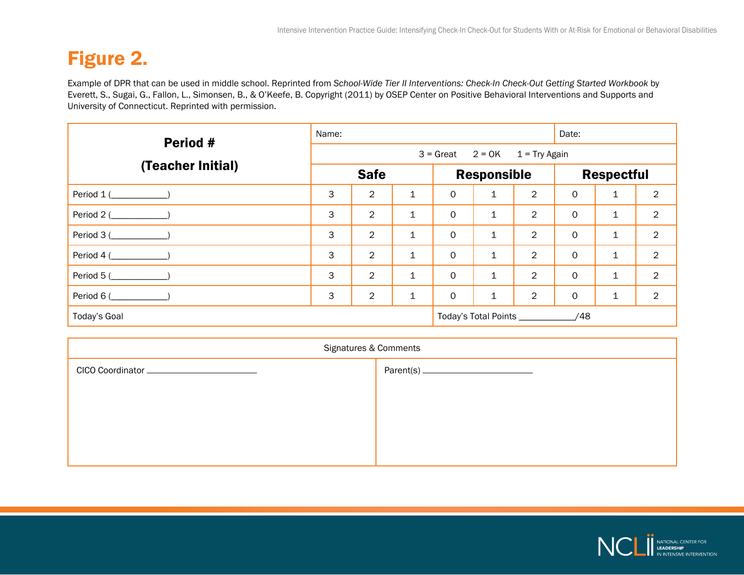### <span id="page-13-0"></span>Figure 2.

Example of DPR that can be used in middle school. Reprinted from *School-Wide Tier II Interventions: Check-In Check-Out Getting Started Workbook* by Everett, S., Sugai, G., Fallon, L., Simonsen, B., & O'Keefe, B. Copyright (2011) by OSEP Center on Positive Behavioral Interventions and Supports and University of Connecticut. Reprinted with permission.

| Period #                  | Name:                                |                |              |                    |                                         |                | Date:             |              |                |  |
|---------------------------|--------------------------------------|----------------|--------------|--------------------|-----------------------------------------|----------------|-------------------|--------------|----------------|--|
|                           | $3 =$ Great $2 = OK$ $1 = Try$ Again |                |              |                    |                                         |                |                   |              |                |  |
| (Teacher Initial)         | <b>Safe</b>                          |                |              | <b>Responsible</b> |                                         |                | <b>Respectful</b> |              |                |  |
| Period 1 (                | 3                                    | $\overline{2}$ | 1            | 0                  | $\mathbf{1}$                            | $\overline{2}$ | $\mathsf{O}$      | $\mathbf{1}$ | $\overline{2}$ |  |
| Period 2 (                | 3                                    | $\overline{2}$ | 1            | $\mathsf{O}$       | $\mathbf{1}$                            | $\overline{2}$ | $\circ$           | $\mathbf{1}$ | $\overline{2}$ |  |
| Period 3 (___________)    | 3                                    | $\overline{2}$ | 1            | $\mathsf{O}$       | $\mathbf{1}$                            | $\overline{2}$ | $\mathbf 0$       | 1            | $\overline{2}$ |  |
| Period $4$ (____________) | 3                                    | $\overline{2}$ | $\mathbf 1$  | $\mathsf{O}$       | $\mathbf{1}$                            | $\overline{2}$ | $\circ$           | $\mathbf{1}$ | $\overline{2}$ |  |
| Period 5 (                | 3                                    | $\overline{2}$ | $\mathbf{1}$ | $\mathbf 0$        | $\mathbf 1$                             | $\overline{2}$ | $\mathbf 0$       | $\mathbf 1$  | $\overline{2}$ |  |
| Period 6 (                | 3                                    | $\overline{2}$ | $\mathbf{1}$ | $\mathsf{O}$       | $\mathbf 1$                             | $\overline{2}$ | $\mathbf 0$       | $\mathbf 1$  | $\overline{2}$ |  |
| Today's Goal              |                                      |                |              |                    | Today's Total Points ___________<br>/48 |                |                   |              |                |  |

| Signatures & Comments                        |  |  |  |  |  |  |
|----------------------------------------------|--|--|--|--|--|--|
| CICO Coordinator ___________________________ |  |  |  |  |  |  |
|                                              |  |  |  |  |  |  |
|                                              |  |  |  |  |  |  |
|                                              |  |  |  |  |  |  |
|                                              |  |  |  |  |  |  |
|                                              |  |  |  |  |  |  |